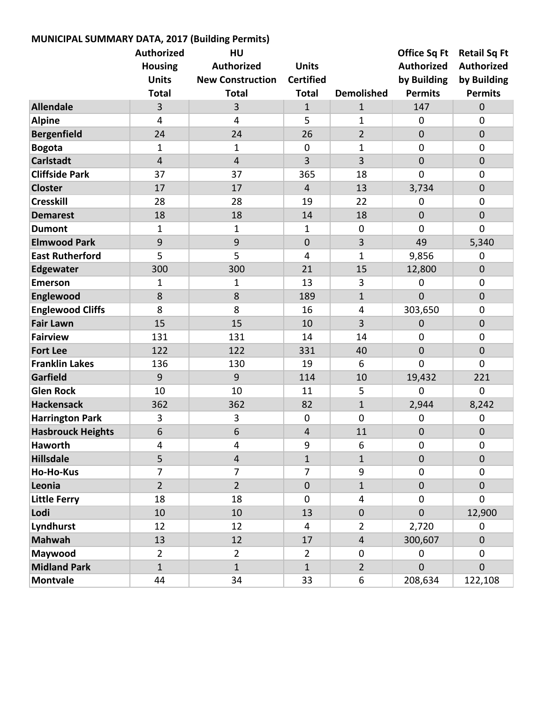| MUNICIPAL SUMMARY DATA, 2017 (Building Permits) |                         |                         |                  |                   |                     |                     |
|-------------------------------------------------|-------------------------|-------------------------|------------------|-------------------|---------------------|---------------------|
|                                                 | <b>Authorized</b>       | HU                      |                  |                   | <b>Office Sq Ft</b> | <b>Retail Sq Ft</b> |
|                                                 | <b>Housing</b>          | <b>Authorized</b>       | <b>Units</b>     |                   | <b>Authorized</b>   | <b>Authorized</b>   |
|                                                 | <b>Units</b>            | <b>New Construction</b> | <b>Certified</b> |                   | by Building         | by Building         |
|                                                 | <b>Total</b>            | <b>Total</b>            | <b>Total</b>     | <b>Demolished</b> | <b>Permits</b>      | <b>Permits</b>      |
| <b>Allendale</b>                                | 3                       | 3                       | $\mathbf{1}$     | $\mathbf{1}$      | 147                 | $\mathbf 0$         |
| <b>Alpine</b>                                   | $\overline{4}$          | 4                       | 5                | $\mathbf{1}$      | 0                   | $\mathbf 0$         |
| <b>Bergenfield</b>                              | 24                      | 24                      | 26               | $\overline{2}$    | $\overline{0}$      | $\mathbf 0$         |
| <b>Bogota</b>                                   | 1                       | $\mathbf{1}$            | $\mathbf 0$      | 1                 | $\mathbf 0$         | $\mathbf 0$         |
| <b>Carlstadt</b>                                | $\overline{\mathbf{4}}$ | $\overline{\mathbf{4}}$ | 3                | 3                 | $\overline{0}$      | $\mathbf 0$         |
| <b>Cliffside Park</b>                           | 37                      | 37                      | 365              | 18                | $\mathbf 0$         | $\boldsymbol{0}$    |
| <b>Closter</b>                                  | 17                      | 17                      | $\overline{4}$   | 13                | 3,734               | $\mathbf 0$         |
| <b>Cresskill</b>                                | 28                      | 28                      | 19               | 22                | $\mathbf 0$         | $\mathbf 0$         |
| <b>Demarest</b>                                 | 18                      | 18                      | 14               | 18                | $\mathbf 0$         | $\mathbf 0$         |
| <b>Dumont</b>                                   | 1                       | $\mathbf 1$             | 1                | $\overline{0}$    | $\mathbf 0$         | $\overline{0}$      |
| <b>Elmwood Park</b>                             | 9                       | 9                       | $\overline{0}$   | 3                 | 49                  | 5,340               |
| <b>East Rutherford</b>                          | 5                       | 5                       | 4                | $\mathbf 1$       | 9,856               | 0                   |
| <b>Edgewater</b>                                | 300                     | 300                     | 21               | 15                | 12,800              | $\mathbf 0$         |
| <b>Emerson</b>                                  | 1                       | 1                       | 13               | 3                 | 0                   | $\mathbf 0$         |
| Englewood                                       | 8                       | 8                       | 189              | $\mathbf{1}$      | $\overline{0}$      | $\mathbf 0$         |
| <b>Englewood Cliffs</b>                         | 8                       | 8                       | 16               | 4                 | 303,650             | $\mathbf 0$         |
| <b>Fair Lawn</b>                                | 15                      | 15                      | 10               | $\overline{3}$    | $\mathbf 0$         | $\mathbf 0$         |
| <b>Fairview</b>                                 | 131                     | 131                     | 14               | 14                | $\mathbf 0$         | $\boldsymbol{0}$    |
| <b>Fort Lee</b>                                 | 122                     | 122                     | 331              | 40                | $\mathbf{0}$        | $\mathbf 0$         |
| <b>Franklin Lakes</b>                           | 136                     | 130                     | 19               | 6                 | $\overline{0}$      | $\overline{0}$      |
| Garfield                                        | 9                       | 9                       | 114              | 10                | 19,432              | 221                 |
| <b>Glen Rock</b>                                | 10                      | 10                      | 11               | 5                 | 0                   | $\mathbf 0$         |
| <b>Hackensack</b>                               | 362                     | 362                     | 82               | $\mathbf{1}$      | 2,944               | 8,242               |
| <b>Harrington Park</b>                          | 3                       | 3                       | $\mathbf 0$      | $\mathbf 0$       | $\mathbf 0$         | 0                   |
| <b>Hasbrouck Heights</b>                        | $\boldsymbol{6}$        | $\boldsymbol{6}$        | 4                | 11                | $\pmb{0}$           | $\pmb{0}$           |
| <b>Haworth</b>                                  | 4                       | 4                       | 9                | 6                 | $\mathbf 0$         | 0                   |
| <b>Hillsdale</b>                                | 5                       | $\overline{\mathbf{4}}$ | $\mathbf{1}$     | $\mathbf{1}$      | $\overline{0}$      | $\mathbf 0$         |
| <b>Ho-Ho-Kus</b>                                | $\overline{7}$          | $\overline{7}$          | $\overline{7}$   | 9                 | 0                   | $\mathbf 0$         |
| Leonia                                          | $\overline{2}$          | $\overline{2}$          | $\mathbf 0$      | $\mathbf{1}$      | $\overline{0}$      | $\mathbf 0$         |
| <b>Little Ferry</b>                             | 18                      | 18                      | $\mathbf 0$      | $\overline{4}$    | $\mathbf 0$         | 0                   |
| Lodi                                            | 10                      | 10                      | 13               | $\mathbf 0$       | 0                   | 12,900              |
| Lyndhurst                                       | 12                      | 12                      | $\overline{4}$   | $\overline{2}$    | 2,720               | $\mathbf 0$         |
| <b>Mahwah</b>                                   | 13                      | 12                      | 17               | $\overline{4}$    | 300,607             | $\mathbf 0$         |
| Maywood                                         | $\overline{2}$          | $\overline{2}$          | $\overline{2}$   | $\mathbf 0$       | $\mathbf 0$         | $\mathbf 0$         |
| <b>Midland Park</b>                             | $\mathbf{1}$            | $\mathbf{1}$            | $\mathbf{1}$     | $\overline{2}$    | $\overline{0}$      | $\mathbf{0}$        |
| <b>Montvale</b>                                 | 44                      | 34                      | 33               | 6                 | 208,634             | 122,108             |